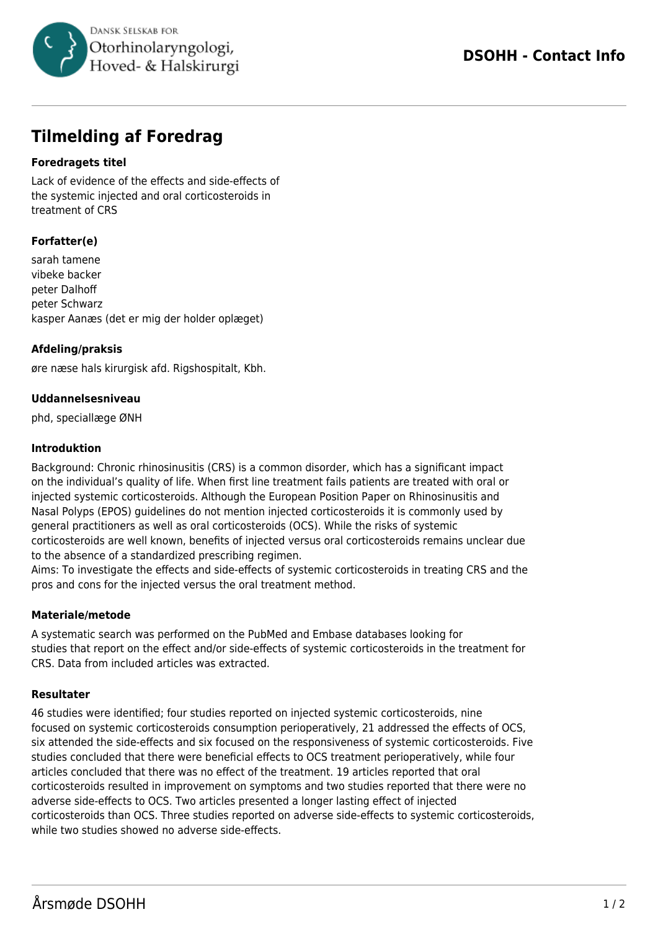

# **Tilmelding af Foredrag**

## **Foredragets titel**

Lack of evidence of the effects and side-effects of the systemic injected and oral corticosteroids in treatment of CRS

# **Forfatter(e)**

sarah tamene vibeke backer peter Dalhoff peter Schwarz kasper Aanæs (det er mig der holder oplæget)

## **Afdeling/praksis**

øre næse hals kirurgisk afd. Rigshospitalt, Kbh.

## **Uddannelsesniveau**

phd, speciallæge ØNH

#### **Introduktion**

Background: Chronic rhinosinusitis (CRS) is a common disorder, which has a significant impact on the individual's quality of life. When first line treatment fails patients are treated with oral or injected systemic corticosteroids. Although the European Position Paper on Rhinosinusitis and Nasal Polyps (EPOS) guidelines do not mention injected corticosteroids it is commonly used by general practitioners as well as oral corticosteroids (OCS). While the risks of systemic corticosteroids are well known, benefits of injected versus oral corticosteroids remains unclear due to the absence of a standardized prescribing regimen.

Aims: To investigate the effects and side-effects of systemic corticosteroids in treating CRS and the pros and cons for the injected versus the oral treatment method.

#### **Materiale/metode**

A systematic search was performed on the PubMed and Embase databases looking for studies that report on the effect and/or side-effects of systemic corticosteroids in the treatment for CRS. Data from included articles was extracted.

#### **Resultater**

46 studies were identified; four studies reported on injected systemic corticosteroids, nine focused on systemic corticosteroids consumption perioperatively, 21 addressed the effects of OCS, six attended the side-effects and six focused on the responsiveness of systemic corticosteroids. Five studies concluded that there were beneficial effects to OCS treatment perioperatively, while four articles concluded that there was no effect of the treatment. 19 articles reported that oral corticosteroids resulted in improvement on symptoms and two studies reported that there were no adverse side-effects to OCS. Two articles presented a longer lasting effect of injected corticosteroids than OCS. Three studies reported on adverse side-effects to systemic corticosteroids, while two studies showed no adverse side-effects.